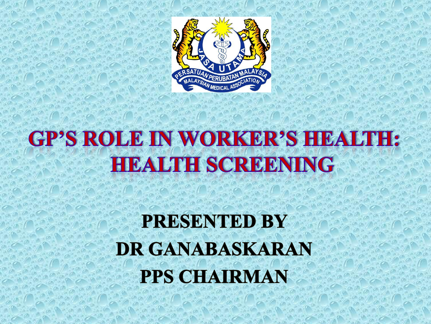

### **GP'S ROLE IN WORKER'S HEALTH: HEALTH SCREENING**

**PRESENTED BY DR GANABASKARAN PPS CHAIRMAN**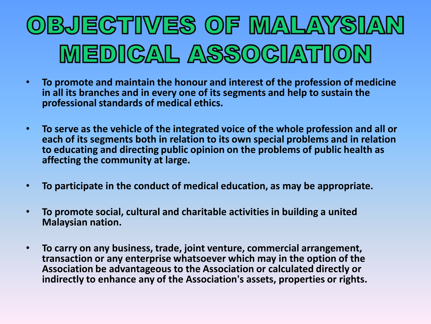# OBJECTIVES OF MALAYSIAN MEDICAL ASSOCIATION

- **To promote and maintain the honour and interest of the profession of medicine in all its branches and in every one of its segments and help to sustain the professional standards of medical ethics.**
- **To serve as the vehicle of the integrated voice of the whole profession and all or each of its segments both in relation to its own special problems and in relation to educating and directing public opinion on the problems of public health as affecting the community at large.**
- **To participate in the conduct of medical education, as may be appropriate.**
- **To promote social, cultural and charitable activities in building a united Malaysian nation.**
- **To carry on any business, trade, joint venture, commercial arrangement, transaction or any enterprise whatsoever which may in the option of the Association be advantageous to the Association or calculated directly or indirectly to enhance any of the Association's assets, properties or rights.**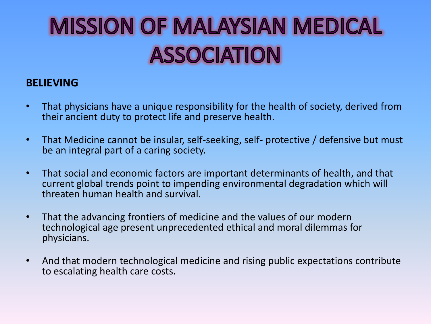## **MISSION OF MALAYSIAN MEDICAL ASSOCIATION**

#### **BELIEVING**

- That physicians have a unique responsibility for the health of society, derived from their ancient duty to protect life and preserve health.
- That Medicine cannot be insular, self-seeking, self- protective / defensive but must be an integral part of a caring society.
- That social and economic factors are important determinants of health, and that current global trends point to impending environmental degradation which will threaten human health and survival.
- That the advancing frontiers of medicine and the values of our modern technological age present unprecedented ethical and moral dilemmas for physicians.
- And that modern technological medicine and rising public expectations contribute to escalating health care costs.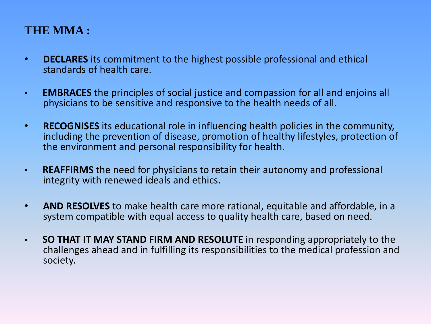#### **THE MMA :**

- **DECLARES** its commitment to the highest possible professional and ethical standards of health care.
- **EMBRACES** the principles of social justice and compassion for all and enjoins all physicians to be sensitive and responsive to the health needs of all.
- **RECOGNISES** its educational role in influencing health policies in the community, including the prevention of disease, promotion of healthy lifestyles, protection of the environment and personal responsibility for health.
- **REAFFIRMS** the need for physicians to retain their autonomy and professional integrity with renewed ideals and ethics.
- **AND RESOLVES** to make health care more rational, equitable and affordable, in a system compatible with equal access to quality health care, based on need.
- **SO THAT IT MAY STAND FIRM AND RESOLUTE** in responding appropriately to the challenges ahead and in fulfilling its responsibilities to the medical profession and society.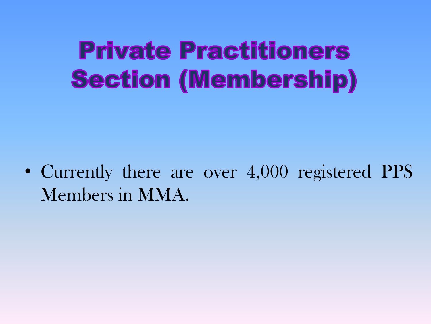# **Private Practitioners Section (Membership)**

• Currently there are over 4,000 registered PPS Members in MMA.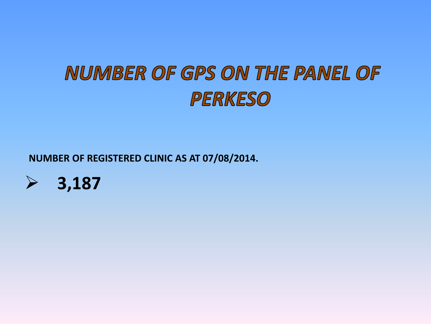### **NUMBER OF GPS ON THE PANEL OF PERKESO**

**NUMBER OF REGISTERED CLINIC AS AT 07/08/2014.**

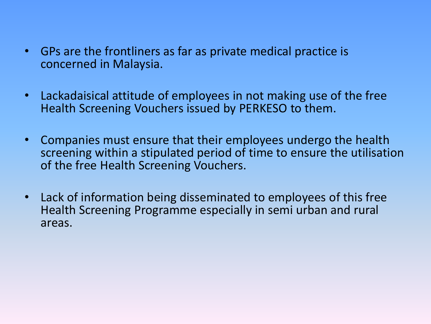- GPs are the frontliners as far as private medical practice is concerned in Malaysia.
- Lackadaisical attitude of employees in not making use of the free Health Screening Vouchers issued by PERKESO to them.
- Companies must ensure that their employees undergo the health screening within a stipulated period of time to ensure the utilisation of the free Health Screening Vouchers.
- Lack of information being disseminated to employees of this free Health Screening Programme especially in semi urban and rural areas.